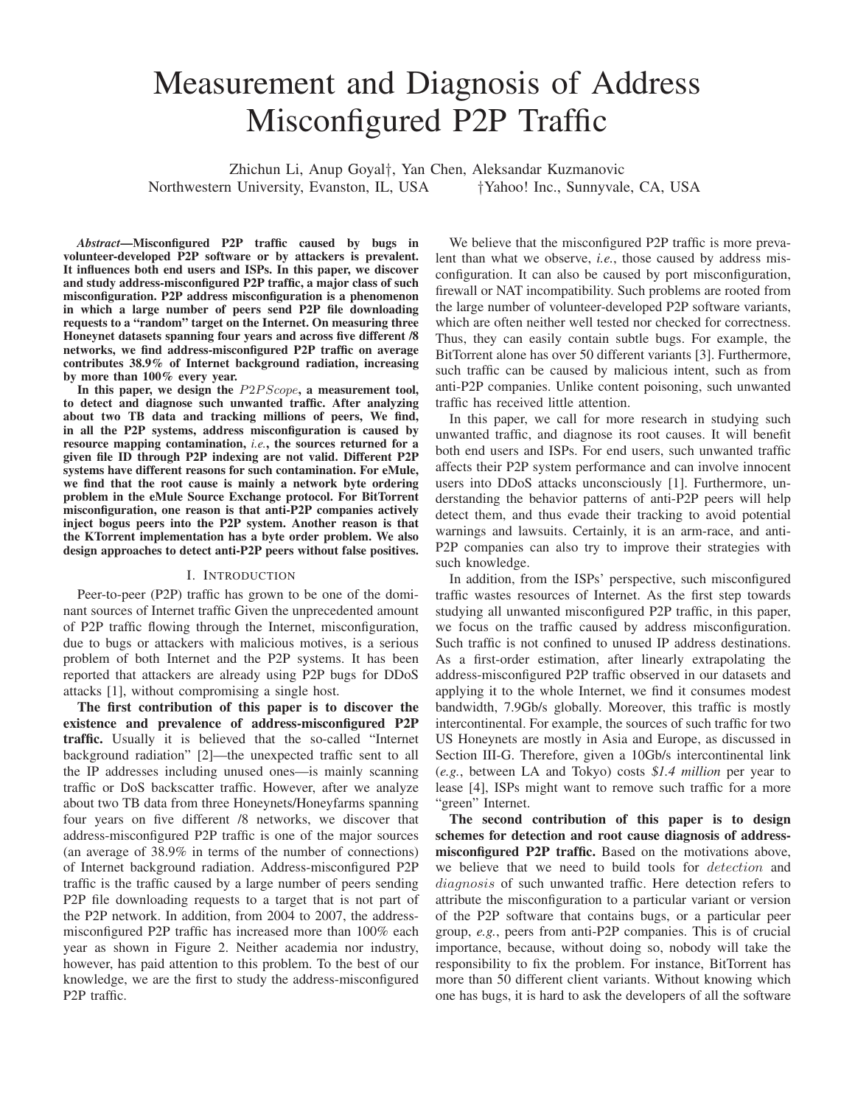# Measurement and Diagnosis of Address Misconfigured P2P Traffic

Zhichun Li, Anup Goyal†, Yan Chen, Aleksandar Kuzmanovic Northwestern University, Evanston, IL, USA

*Abstract***—Misconfigured P2P traffic caused by bugs in volunteer-developed P2P software or by attackers is prevalent. It influences both end users and ISPs. In this paper, we discover and study address-misconfigured P2P traffic, a major class of such misconfiguration. P2P address misconfiguration is a phenomenon in which a large number of peers send P2P file downloading requests to a "random" target on the Internet. On measuring three Honeynet datasets spanning four years and across five different /8 networks, we find address-misconfigured P2P traffic on average contributes 38.9% of Internet background radiation, increasing by more than 100% every year.**

**In this paper, we design the** *P*2*P Scope***, a measurement tool, to detect and diagnose such unwanted traffic. After analyzing about two TB data and tracking millions of peers, We find, in all the P2P systems, address misconfiguration is caused by resource mapping contamination,** *i.e.***, the sources returned for a given file ID through P2P indexing are not valid. Different P2P systems have different reasons for such contamination. For eMule, we find that the root cause is mainly a network byte ordering problem in the eMule Source Exchange protocol. For BitTorrent misconfiguration, one reason is that anti-P2P companies actively inject bogus peers into the P2P system. Another reason is that the KTorrent implementation has a byte order problem. We also design approaches to detect anti-P2P peers without false positives.**

#### I. INTRODUCTION

Peer-to-peer (P2P) traffic has grown to be one of the dominant sources of Internet traffic Given the unprecedented amount of P2P traffic flowing through the Internet, misconfiguration, due to bugs or attackers with malicious motives, is a serious problem of both Internet and the P2P systems. It has been reported that attackers are already using P2P bugs for DDoS attacks [1], without compromising a single host.

**The first contribution of this paper is to discover the existence and prevalence of address-misconfigured P2P traffic.** Usually it is believed that the so-called "Internet background radiation" [2]—the unexpected traffic sent to all the IP addresses including unused ones—is mainly scanning traffic or DoS backscatter traffic. However, after we analyze about two TB data from three Honeynets/Honeyfarms spanning four years on five different /8 networks, we discover that address-misconfigured P2P traffic is one of the major sources (an average of 38.9% in terms of the number of connections) of Internet background radiation. Address-misconfigured P2P traffic is the traffic caused by a large number of peers sending P2P file downloading requests to a target that is not part of the P2P network. In addition, from 2004 to 2007, the addressmisconfigured P2P traffic has increased more than 100% each year as shown in Figure 2. Neither academia nor industry, however, has paid attention to this problem. To the best of our knowledge, we are the first to study the address-misconfigured P2P traffic.

We believe that the misconfigured P2P traffic is more prevalent than what we observe, *i.e.*, those caused by address misconfiguration. It can also be caused by port misconfiguration, firewall or NAT incompatibility. Such problems are rooted from the large number of volunteer-developed P2P software variants, which are often neither well tested nor checked for correctness. Thus, they can easily contain subtle bugs. For example, the BitTorrent alone has over 50 different variants [3]. Furthermore, such traffic can be caused by malicious intent, such as from anti-P2P companies. Unlike content poisoning, such unwanted traffic has received little attention.

In this paper, we call for more research in studying such unwanted traffic, and diagnose its root causes. It will benefit both end users and ISPs. For end users, such unwanted traffic affects their P2P system performance and can involve innocent users into DDoS attacks unconsciously [1]. Furthermore, understanding the behavior patterns of anti-P2P peers will help detect them, and thus evade their tracking to avoid potential warnings and lawsuits. Certainly, it is an arm-race, and anti-P2P companies can also try to improve their strategies with such knowledge.

In addition, from the ISPs' perspective, such misconfigured traffic wastes resources of Internet. As the first step towards studying all unwanted misconfigured P2P traffic, in this paper, we focus on the traffic caused by address misconfiguration. Such traffic is not confined to unused IP address destinations. As a first-order estimation, after linearly extrapolating the address-misconfigured P2P traffic observed in our datasets and applying it to the whole Internet, we find it consumes modest bandwidth, 7.9Gb/s globally. Moreover, this traffic is mostly intercontinental. For example, the sources of such traffic for two US Honeynets are mostly in Asia and Europe, as discussed in Section III-G. Therefore, given a 10Gb/s intercontinental link (*e.g.*, between LA and Tokyo) costs \$*1.4 million* per year to lease [4], ISPs might want to remove such traffic for a more "green" Internet.

**The second contribution of this paper is to design schemes for detection and root cause diagnosis of addressmisconfigured P2P traffic.** Based on the motivations above, we believe that we need to build tools for *detection* and *diagnosis* of such unwanted traffic. Here detection refers to attribute the misconfiguration to a particular variant or version of the P2P software that contains bugs, or a particular peer group, *e.g.*, peers from anti-P2P companies. This is of crucial importance, because, without doing so, nobody will take the responsibility to fix the problem. For instance, BitTorrent has more than 50 different client variants. Without knowing which one has bugs, it is hard to ask the developers of all the software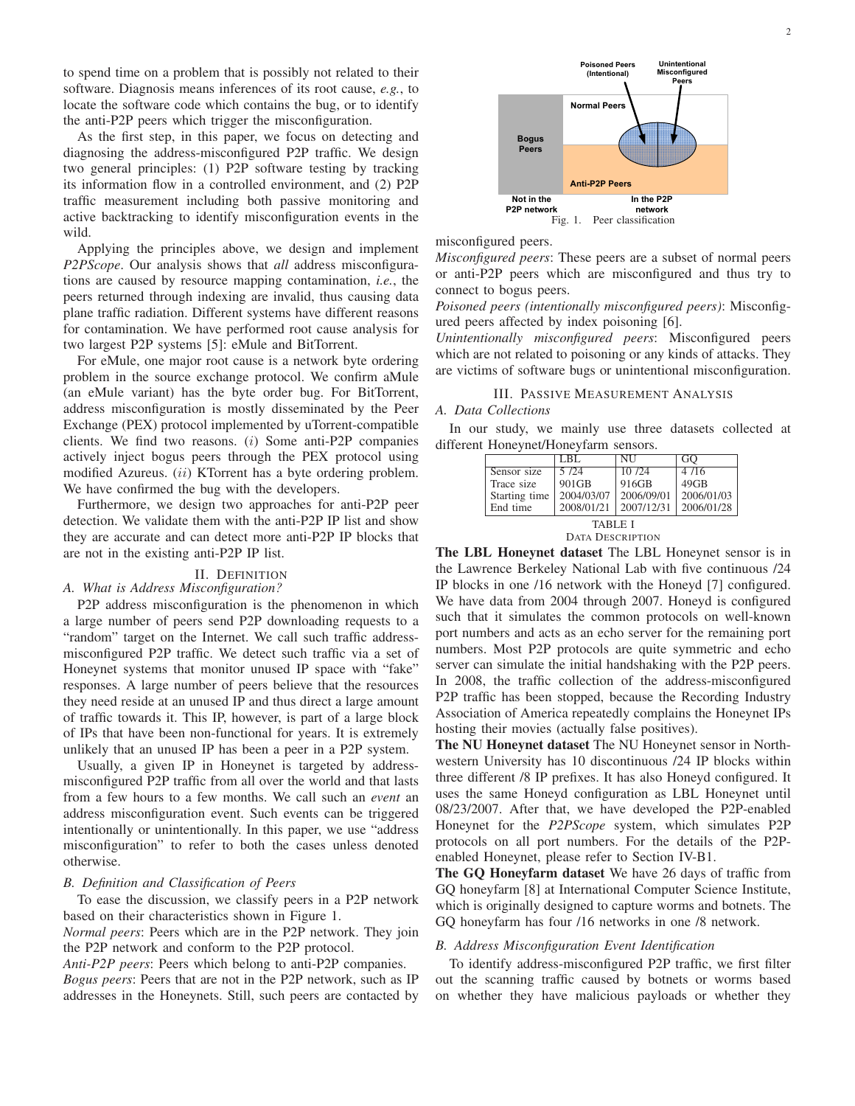to spend time on a problem that is possibly not related to their software. Diagnosis means inferences of its root cause, *e.g.*, to locate the software code which contains the bug, or to identify the anti-P2P peers which trigger the misconfiguration.

As the first step, in this paper, we focus on detecting and diagnosing the address-misconfigured P2P traffic. We design two general principles: (1) P2P software testing by tracking its information flow in a controlled environment, and (2) P2P traffic measurement including both passive monitoring and active backtracking to identify misconfiguration events in the wild.

Applying the principles above, we design and implement *P2PScope*. Our analysis shows that *all* address misconfigurations are caused by resource mapping contamination, *i.e.*, the peers returned through indexing are invalid, thus causing data plane traffic radiation. Different systems have different reasons for contamination. We have performed root cause analysis for two largest P2P systems [5]: eMule and BitTorrent.

For eMule, one major root cause is a network byte ordering problem in the source exchange protocol. We confirm aMule (an eMule variant) has the byte order bug. For BitTorrent, address misconfiguration is mostly disseminated by the Peer Exchange (PEX) protocol implemented by uTorrent-compatible clients. We find two reasons. (*i*) Some anti-P2P companies actively inject bogus peers through the PEX protocol using modified Azureus. (*ii*) KTorrent has a byte ordering problem. We have confirmed the bug with the developers.

Furthermore, we design two approaches for anti-P2P peer detection. We validate them with the anti-P2P IP list and show they are accurate and can detect more anti-P2P IP blocks that are not in the existing anti-P2P IP list.

# II. DEFINITION

# *A. What is Address Misconfiguration?*

P2P address misconfiguration is the phenomenon in which a large number of peers send P2P downloading requests to a "random" target on the Internet. We call such traffic addressmisconfigured P2P traffic. We detect such traffic via a set of Honeynet systems that monitor unused IP space with "fake" responses. A large number of peers believe that the resources they need reside at an unused IP and thus direct a large amount of traffic towards it. This IP, however, is part of a large block of IPs that have been non-functional for years. It is extremely unlikely that an unused IP has been a peer in a P2P system.

Usually, a given IP in Honeynet is targeted by addressmisconfigured P2P traffic from all over the world and that lasts from a few hours to a few months. We call such an *event* an address misconfiguration event. Such events can be triggered intentionally or unintentionally. In this paper, we use "address misconfiguration" to refer to both the cases unless denoted otherwise.

#### *B. Definition and Classification of Peers*

To ease the discussion, we classify peers in a P2P network based on their characteristics shown in Figure 1.

*Normal peers*: Peers which are in the P2P network. They join the P2P network and conform to the P2P protocol.

*Anti-P2P peers*: Peers which belong to anti-P2P companies. *Bogus peers*: Peers that are not in the P2P network, such as IP addresses in the Honeynets. Still, such peers are contacted by



misconfigured peers.

*Misconfigured peers*: These peers are a subset of normal peers or anti-P2P peers which are misconfigured and thus try to connect to bogus peers.

*Poisoned peers (intentionally misconfigured peers)*: Misconfigured peers affected by index poisoning [6].

*Unintentionally misconfigured peers*: Misconfigured peers which are not related to poisoning or any kinds of attacks. They are victims of software bugs or unintentional misconfiguration.

#### III. PASSIVE MEASUREMENT ANALYSIS *A. Data Collections*

In our study, we mainly use three datasets collected at different Honeynet/Honeyfarm sensors.

|                | LBL        | NU         | GО         |  |
|----------------|------------|------------|------------|--|
| Sensor size    | 5/24       | 10/24      | 4/16       |  |
| Trace size     | $901$ GB   | 916GB      | $49$ GB    |  |
| Starting time  | 2004/03/07 | 2006/09/01 | 2006/01/03 |  |
| End time       | 2008/01/21 | 2007/12/31 | 2006/01/28 |  |
| <b>TABLE I</b> |            |            |            |  |

DATA DESCRIPTION

**The LBL Honeynet dataset** The LBL Honeynet sensor is in the Lawrence Berkeley National Lab with five continuous /24 IP blocks in one /16 network with the Honeyd [7] configured. We have data from 2004 through 2007. Honeyd is configured such that it simulates the common protocols on well-known port numbers and acts as an echo server for the remaining port numbers. Most P2P protocols are quite symmetric and echo server can simulate the initial handshaking with the P2P peers. In 2008, the traffic collection of the address-misconfigured P2P traffic has been stopped, because the Recording Industry Association of America repeatedly complains the Honeynet IPs hosting their movies (actually false positives).

**The NU Honeynet dataset** The NU Honeynet sensor in Northwestern University has 10 discontinuous /24 IP blocks within three different /8 IP prefixes. It has also Honeyd configured. It uses the same Honeyd configuration as LBL Honeynet until 08/23/2007. After that, we have developed the P2P-enabled Honeynet for the *P2PScope* system, which simulates P2P protocols on all port numbers. For the details of the P2Penabled Honeynet, please refer to Section IV-B1.

**The GQ Honeyfarm dataset** We have 26 days of traffic from GQ honeyfarm [8] at International Computer Science Institute, which is originally designed to capture worms and botnets. The GQ honeyfarm has four /16 networks in one /8 network.

#### *B. Address Misconfiguration Event Identification*

To identify address-misconfigured P2P traffic, we first filter out the scanning traffic caused by botnets or worms based on whether they have malicious payloads or whether they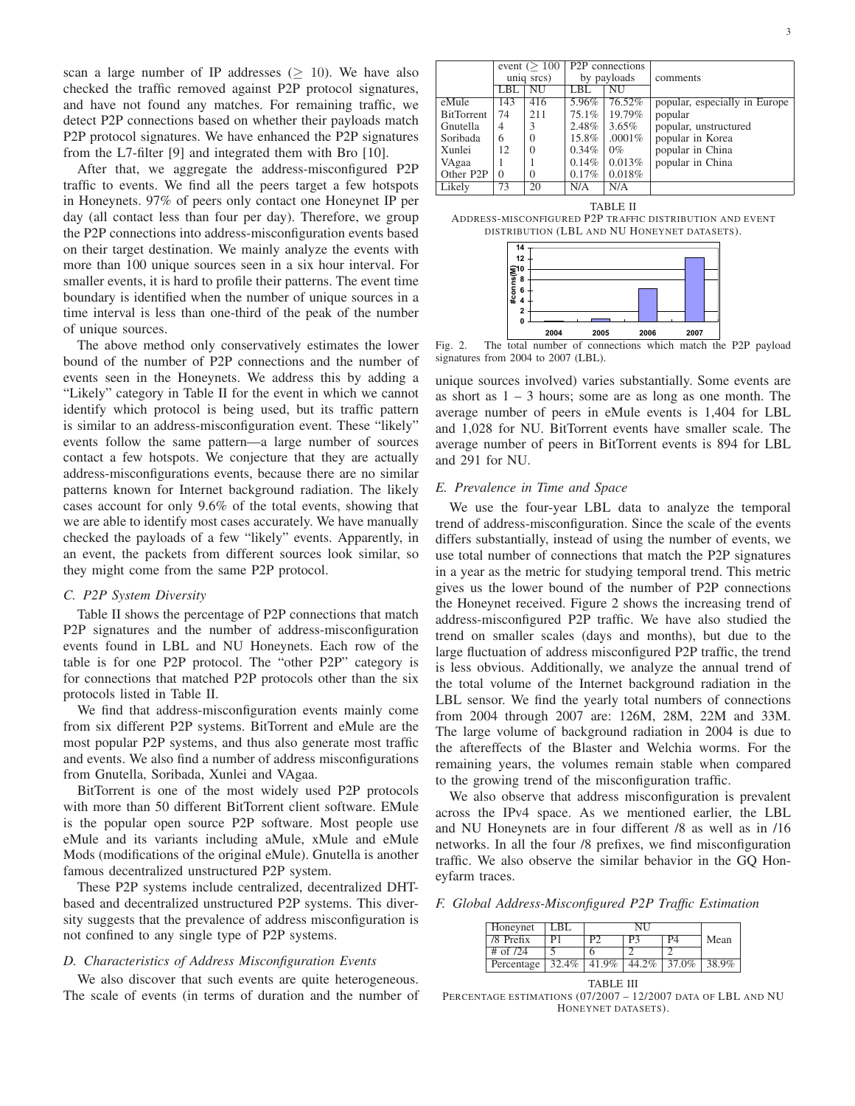scan a large number of IP addresses ( $\geq$  10). We have also checked the traffic removed against P2P protocol signatures, and have not found any matches. For remaining traffic, we detect P2P connections based on whether their payloads match P2P protocol signatures. We have enhanced the P2P signatures from the L7-filter [9] and integrated them with Bro [10].

After that, we aggregate the address-misconfigured P2P traffic to events. We find all the peers target a few hotspots in Honeynets. 97% of peers only contact one Honeynet IP per day (all contact less than four per day). Therefore, we group the P2P connections into address-misconfiguration events based on their target destination. We mainly analyze the events with more than 100 unique sources seen in a six hour interval. For smaller events, it is hard to profile their patterns. The event time boundary is identified when the number of unique sources in a time interval is less than one-third of the peak of the number of unique sources.

The above method only conservatively estimates the lower bound of the number of P2P connections and the number of events seen in the Honeynets. We address this by adding a "Likely" category in Table II for the event in which we cannot identify which protocol is being used, but its traffic pattern is similar to an address-misconfiguration event. These "likely" events follow the same pattern—a large number of sources contact a few hotspots. We conjecture that they are actually address-misconfigurations events, because there are no similar patterns known for Internet background radiation. The likely cases account for only 9.6% of the total events, showing that we are able to identify most cases accurately. We have manually checked the payloads of a few "likely" events. Apparently, in an event, the packets from different sources look similar, so they might come from the same P2P protocol.

#### *C. P2P System Diversity*

Table II shows the percentage of P2P connections that match P2P signatures and the number of address-misconfiguration events found in LBL and NU Honeynets. Each row of the table is for one P2P protocol. The "other P2P" category is for connections that matched P2P protocols other than the six protocols listed in Table II.

We find that address-misconfiguration events mainly come from six different P2P systems. BitTorrent and eMule are the most popular P2P systems, and thus also generate most traffic and events. We also find a number of address misconfigurations from Gnutella, Soribada, Xunlei and VAgaa.

BitTorrent is one of the most widely used P2P protocols with more than 50 different BitTorrent client software. EMule is the popular open source P2P software. Most people use eMule and its variants including aMule, xMule and eMule Mods (modifications of the original eMule). Gnutella is another famous decentralized unstructured P2P system.

These P2P systems include centralized, decentralized DHTbased and decentralized unstructured P2P systems. This diversity suggests that the prevalence of address misconfiguration is not confined to any single type of P2P systems.

## *D. Characteristics of Address Misconfiguration Events*

We also discover that such events are quite heterogeneous. The scale of events (in terms of duration and the number of

|                   | event $(>100$ |            | <b>P2P</b> connections |             |                               |
|-------------------|---------------|------------|------------------------|-------------|-------------------------------|
|                   |               | uniq srcs) |                        | by payloads | comments                      |
|                   | LBL           | NU         | LBL                    | NU          |                               |
| eMule             | 143           | 416        | 5.96%                  | 76.52%      | popular, especially in Europe |
| <b>BitTorrent</b> | 74            | 211        | 75.1%                  | 19.79%      | popular                       |
| Gnutella          | 4             | 3          | 2.48%                  | $3.65\%$    | popular, unstructured         |
| Soribada          | 6             | $\Omega$   | 15.8%                  | $.0001\%$   | popular in Korea              |
| Xunlei            | 12            | $\Omega$   | 0.34%                  | $0\%$       | popular in China              |
| VAgaa             |               |            | 0.14%                  | 0.013%      | popular in China              |
| Other P2P         | $\Omega$      | $\theta$   | 0.17%                  | 0.018%      |                               |
| Likely            | 73            | 20         | N/A                    | N/A         |                               |





Fig. 2. The total number of connections which match the P2P payload signatures from 2004 to 2007 (LBL).

unique sources involved) varies substantially. Some events are as short as  $1 - 3$  hours; some are as long as one month. The average number of peers in eMule events is 1,404 for LBL and 1,028 for NU. BitTorrent events have smaller scale. The average number of peers in BitTorrent events is 894 for LBL and 291 for NU.

#### *E. Prevalence in Time and Space*

We use the four-year LBL data to analyze the temporal trend of address-misconfiguration. Since the scale of the events differs substantially, instead of using the number of events, we use total number of connections that match the P2P signatures in a year as the metric for studying temporal trend. This metric gives us the lower bound of the number of P2P connections the Honeynet received. Figure 2 shows the increasing trend of address-misconfigured P2P traffic. We have also studied the trend on smaller scales (days and months), but due to the large fluctuation of address misconfigured P2P traffic, the trend is less obvious. Additionally, we analyze the annual trend of the total volume of the Internet background radiation in the LBL sensor. We find the yearly total numbers of connections from 2004 through 2007 are: 126M, 28M, 22M and 33M. The large volume of background radiation in 2004 is due to the aftereffects of the Blaster and Welchia worms. For the remaining years, the volumes remain stable when compared to the growing trend of the misconfiguration traffic.

We also observe that address misconfiguration is prevalent across the IPv4 space. As we mentioned earlier, the LBL and NU Honeynets are in four different /8 as well as in /16 networks. In all the four /8 prefixes, we find misconfiguration traffic. We also observe the similar behavior in the GQ Honeyfarm traces.

*F. Global Address-Misconfigured P2P Traffic Estimation*

| Honeynet     | BL.   | NI    |       |       |      |
|--------------|-------|-------|-------|-------|------|
| /8 Prefix    | ÞТ    |       |       |       | Mean |
| $#$ of $/24$ |       |       |       |       |      |
| Percentage   | 32.4% | 41.9% | 44.2% | 37.0% |      |

TABLE III

PERCENTAGE ESTIMATIONS (07/2007 – 12/2007 DATA OF LBL AND NU HONEYNET DATASETS).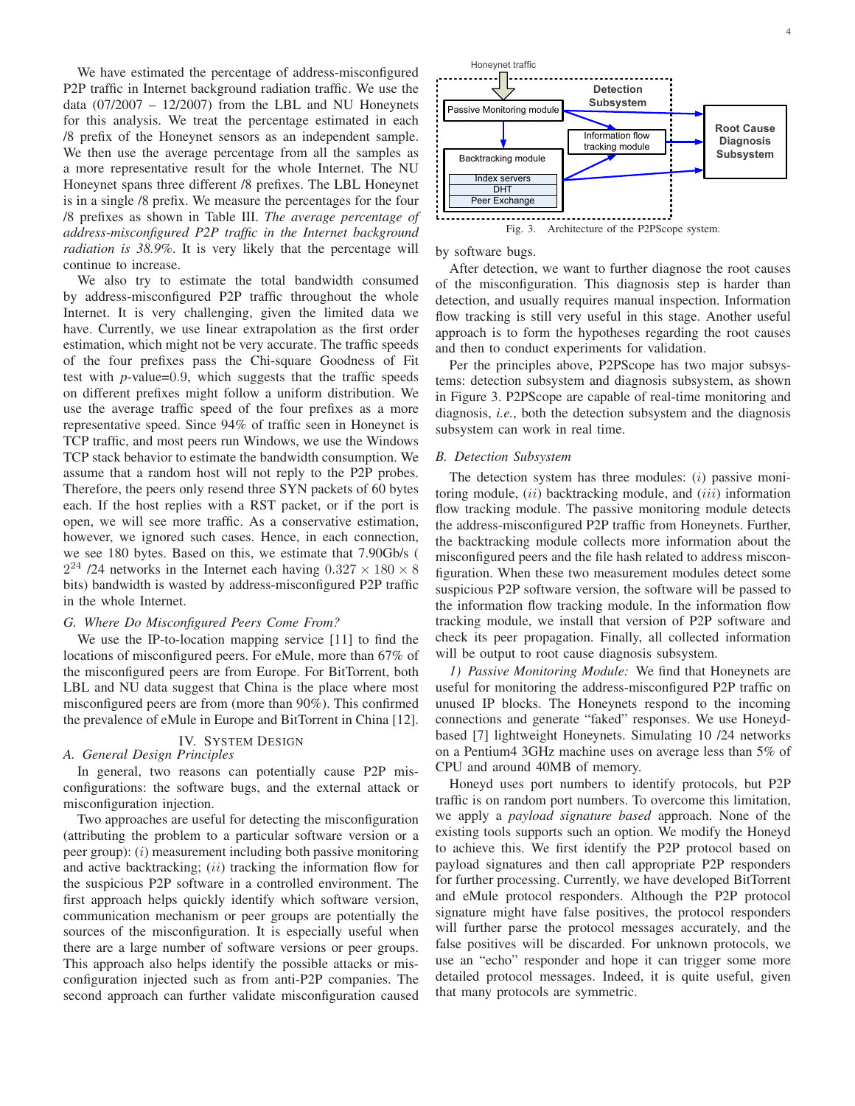We have estimated the percentage of address-misconfigured P2P traffic in Internet background radiation traffic. We use the data  $(07/2007 - 12/2007)$  from the LBL and NU Honeynets for this analysis. We treat the percentage estimated in each /8 prefix of the Honeynet sensors as an independent sample. We then use the average percentage from all the samples as a more representative result for the whole Internet. The NU Honeynet spans three different /8 prefixes. The LBL Honeynet is in a single /8 prefix. We measure the percentages for the four /8 prefixes as shown in Table III. *The average percentage of address-misconfigured P2P traffic in the Internet background radiation is 38.9%*. It is very likely that the percentage will continue to increase.

We also try to estimate the total bandwidth consumed by address-misconfigured P2P traffic throughout the whole Internet. It is very challenging, given the limited data we have. Currently, we use linear extrapolation as the first order estimation, which might not be very accurate. The traffic speeds of the four prefixes pass the Chi-square Goodness of Fit test with *p*-value=0*.*9, which suggests that the traffic speeds on different prefixes might follow a uniform distribution. We use the average traffic speed of the four prefixes as a more representative speed. Since 94% of traffic seen in Honeynet is TCP traffic, and most peers run Windows, we use the Windows TCP stack behavior to estimate the bandwidth consumption. We assume that a random host will not reply to the P2P probes. Therefore, the peers only resend three SYN packets of 60 bytes each. If the host replies with a RST packet, or if the port is open, we will see more traffic. As a conservative estimation, however, we ignored such cases. Hence, in each connection, we see 180 bytes. Based on this, we estimate that 7.90Gb/s (  $2^{24}$  /24 networks in the Internet each having  $0.327 \times 180 \times 8$ bits) bandwidth is wasted by address-misconfigured P2P traffic in the whole Internet.

# *G. Where Do Misconfigured Peers Come From?*

We use the IP-to-location mapping service [11] to find the locations of misconfigured peers. For eMule, more than 67% of the misconfigured peers are from Europe. For BitTorrent, both LBL and NU data suggest that China is the place where most misconfigured peers are from (more than 90%). This confirmed the prevalence of eMule in Europe and BitTorrent in China [12].

# IV. SYSTEM DESIGN

*A. General Design Principles* In general, two reasons can potentially cause P2P mis-

configurations: the software bugs, and the external attack or misconfiguration injection.

Two approaches are useful for detecting the misconfiguration (attributing the problem to a particular software version or a peer group): (*i*) measurement including both passive monitoring and active backtracking; (*ii*) tracking the information flow for the suspicious P2P software in a controlled environment. The first approach helps quickly identify which software version, communication mechanism or peer groups are potentially the sources of the misconfiguration. It is especially useful when there are a large number of software versions or peer groups. This approach also helps identify the possible attacks or misconfiguration injected such as from anti-P2P companies. The second approach can further validate misconfiguration caused



Fig. 3. Architecture of the P2PScope system.

by software bugs.

After detection, we want to further diagnose the root causes of the misconfiguration. This diagnosis step is harder than detection, and usually requires manual inspection. Information flow tracking is still very useful in this stage. Another useful approach is to form the hypotheses regarding the root causes and then to conduct experiments for validation.

Per the principles above, P2PScope has two major subsystems: detection subsystem and diagnosis subsystem, as shown in Figure 3. P2PScope are capable of real-time monitoring and diagnosis, *i.e.*, both the detection subsystem and the diagnosis subsystem can work in real time.

#### *B. Detection Subsystem*

The detection system has three modules: (*i*) passive monitoring module, (*ii*) backtracking module, and (*iii*) information flow tracking module. The passive monitoring module detects the address-misconfigured P2P traffic from Honeynets. Further, the backtracking module collects more information about the misconfigured peers and the file hash related to address misconfiguration. When these two measurement modules detect some suspicious P2P software version, the software will be passed to the information flow tracking module. In the information flow tracking module, we install that version of P2P software and check its peer propagation. Finally, all collected information will be output to root cause diagnosis subsystem.

*1) Passive Monitoring Module:* We find that Honeynets are useful for monitoring the address-misconfigured P2P traffic on unused IP blocks. The Honeynets respond to the incoming connections and generate "faked" responses. We use Honeydbased [7] lightweight Honeynets. Simulating 10 /24 networks on a Pentium4 3GHz machine uses on average less than 5% of CPU and around 40MB of memory.

Honeyd uses port numbers to identify protocols, but P2P traffic is on random port numbers. To overcome this limitation, we apply a *payload signature based* approach. None of the existing tools supports such an option. We modify the Honeyd to achieve this. We first identify the P2P protocol based on payload signatures and then call appropriate P2P responders for further processing. Currently, we have developed BitTorrent and eMule protocol responders. Although the P2P protocol signature might have false positives, the protocol responders will further parse the protocol messages accurately, and the false positives will be discarded. For unknown protocols, we use an "echo" responder and hope it can trigger some more detailed protocol messages. Indeed, it is quite useful, given that many protocols are symmetric.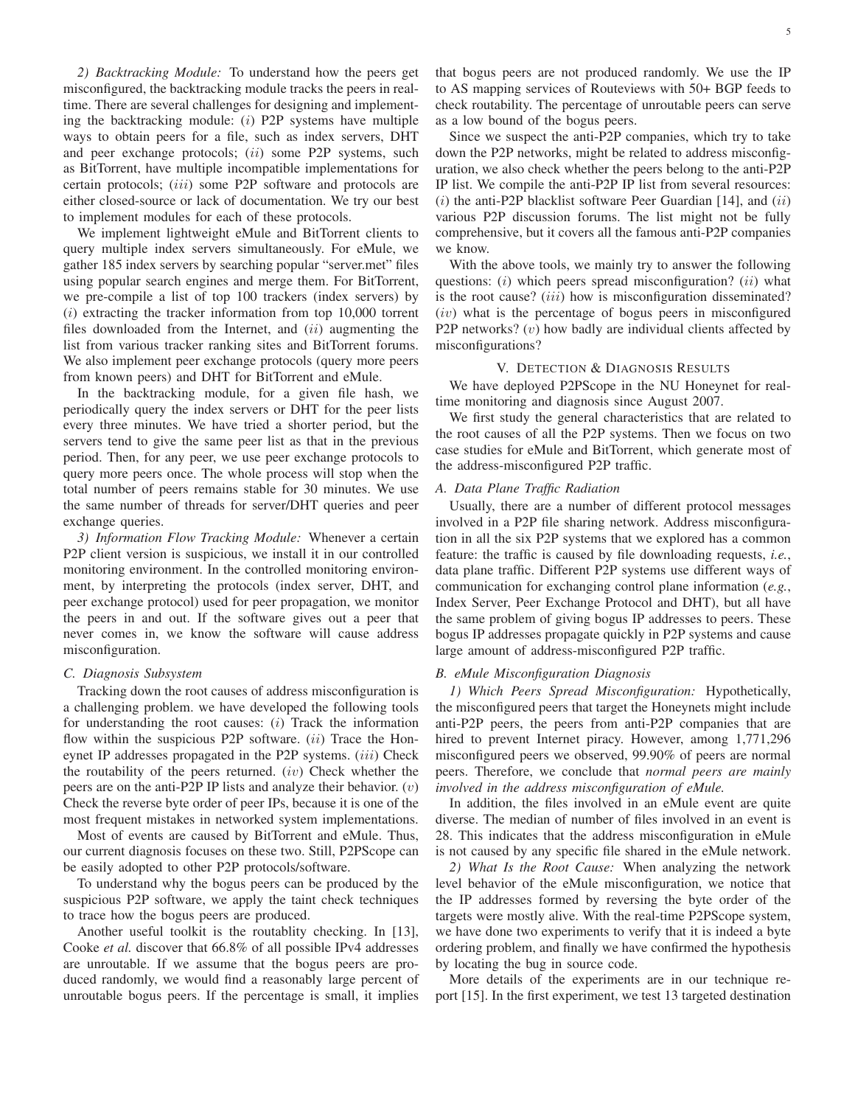*2) Backtracking Module:* To understand how the peers get misconfigured, the backtracking module tracks the peers in realtime. There are several challenges for designing and implementing the backtracking module: (*i*) P2P systems have multiple ways to obtain peers for a file, such as index servers, DHT and peer exchange protocols; (*ii*) some P2P systems, such as BitTorrent, have multiple incompatible implementations for certain protocols; (*iii*) some P2P software and protocols are either closed-source or lack of documentation. We try our best to implement modules for each of these protocols.

We implement lightweight eMule and BitTorrent clients to query multiple index servers simultaneously. For eMule, we gather 185 index servers by searching popular "server.met" files using popular search engines and merge them. For BitTorrent, we pre-compile a list of top 100 trackers (index servers) by (*i*) extracting the tracker information from top 10,000 torrent files downloaded from the Internet, and (*ii*) augmenting the list from various tracker ranking sites and BitTorrent forums. We also implement peer exchange protocols (query more peers from known peers) and DHT for BitTorrent and eMule.

In the backtracking module, for a given file hash, we periodically query the index servers or DHT for the peer lists every three minutes. We have tried a shorter period, but the servers tend to give the same peer list as that in the previous period. Then, for any peer, we use peer exchange protocols to query more peers once. The whole process will stop when the total number of peers remains stable for 30 minutes. We use the same number of threads for server/DHT queries and peer exchange queries.

*3) Information Flow Tracking Module:* Whenever a certain P2P client version is suspicious, we install it in our controlled monitoring environment. In the controlled monitoring environment, by interpreting the protocols (index server, DHT, and peer exchange protocol) used for peer propagation, we monitor the peers in and out. If the software gives out a peer that never comes in, we know the software will cause address misconfiguration.

# *C. Diagnosis Subsystem*

Tracking down the root causes of address misconfiguration is a challenging problem. we have developed the following tools for understanding the root causes: (*i*) Track the information flow within the suspicious P2P software. (*ii*) Trace the Honeynet IP addresses propagated in the P2P systems. (*iii*) Check the routability of the peers returned. (*iv*) Check whether the peers are on the anti-P2P IP lists and analyze their behavior. (*v*) Check the reverse byte order of peer IPs, because it is one of the most frequent mistakes in networked system implementations.

Most of events are caused by BitTorrent and eMule. Thus, our current diagnosis focuses on these two. Still, P2PScope can be easily adopted to other P2P protocols/software.

To understand why the bogus peers can be produced by the suspicious P2P software, we apply the taint check techniques to trace how the bogus peers are produced.

Another useful toolkit is the routablity checking. In [13], Cooke *et al.* discover that 66.8% of all possible IPv4 addresses are unroutable. If we assume that the bogus peers are produced randomly, we would find a reasonably large percent of unroutable bogus peers. If the percentage is small, it implies that bogus peers are not produced randomly. We use the IP to AS mapping services of Routeviews with 50+ BGP feeds to check routability. The percentage of unroutable peers can serve as a low bound of the bogus peers.

Since we suspect the anti-P2P companies, which try to take down the P2P networks, might be related to address misconfiguration, we also check whether the peers belong to the anti-P2P IP list. We compile the anti-P2P IP list from several resources: (*i*) the anti-P2P blacklist software Peer Guardian [14], and (*ii*) various P2P discussion forums. The list might not be fully comprehensive, but it covers all the famous anti-P2P companies we know.

With the above tools, we mainly try to answer the following questions: (*i*) which peers spread misconfiguration? (*ii*) what is the root cause? (*iii*) how is misconfiguration disseminated? (*iv*) what is the percentage of bogus peers in misconfigured P2P networks? (*v*) how badly are individual clients affected by misconfigurations?

## V. DETECTION & DIAGNOSIS RESULTS

We have deployed P2PScope in the NU Honeynet for realtime monitoring and diagnosis since August 2007.

We first study the general characteristics that are related to the root causes of all the P2P systems. Then we focus on two case studies for eMule and BitTorrent, which generate most of the address-misconfigured P2P traffic.

#### *A. Data Plane Traffic Radiation*

Usually, there are a number of different protocol messages involved in a P2P file sharing network. Address misconfiguration in all the six P2P systems that we explored has a common feature: the traffic is caused by file downloading requests, *i.e.*, data plane traffic. Different P2P systems use different ways of communication for exchanging control plane information (*e.g.*, Index Server, Peer Exchange Protocol and DHT), but all have the same problem of giving bogus IP addresses to peers. These bogus IP addresses propagate quickly in P2P systems and cause large amount of address-misconfigured P2P traffic.

#### *B. eMule Misconfiguration Diagnosis*

*1) Which Peers Spread Misconfiguration:* Hypothetically, the misconfigured peers that target the Honeynets might include anti-P2P peers, the peers from anti-P2P companies that are hired to prevent Internet piracy. However, among 1,771,296 misconfigured peers we observed, 99.90% of peers are normal peers. Therefore, we conclude that *normal peers are mainly involved in the address misconfiguration of eMule.*

In addition, the files involved in an eMule event are quite diverse. The median of number of files involved in an event is 28. This indicates that the address misconfiguration in eMule is not caused by any specific file shared in the eMule network.

*2) What Is the Root Cause:* When analyzing the network level behavior of the eMule misconfiguration, we notice that the IP addresses formed by reversing the byte order of the targets were mostly alive. With the real-time P2PScope system, we have done two experiments to verify that it is indeed a byte ordering problem, and finally we have confirmed the hypothesis by locating the bug in source code.

More details of the experiments are in our technique report [15]. In the first experiment, we test 13 targeted destination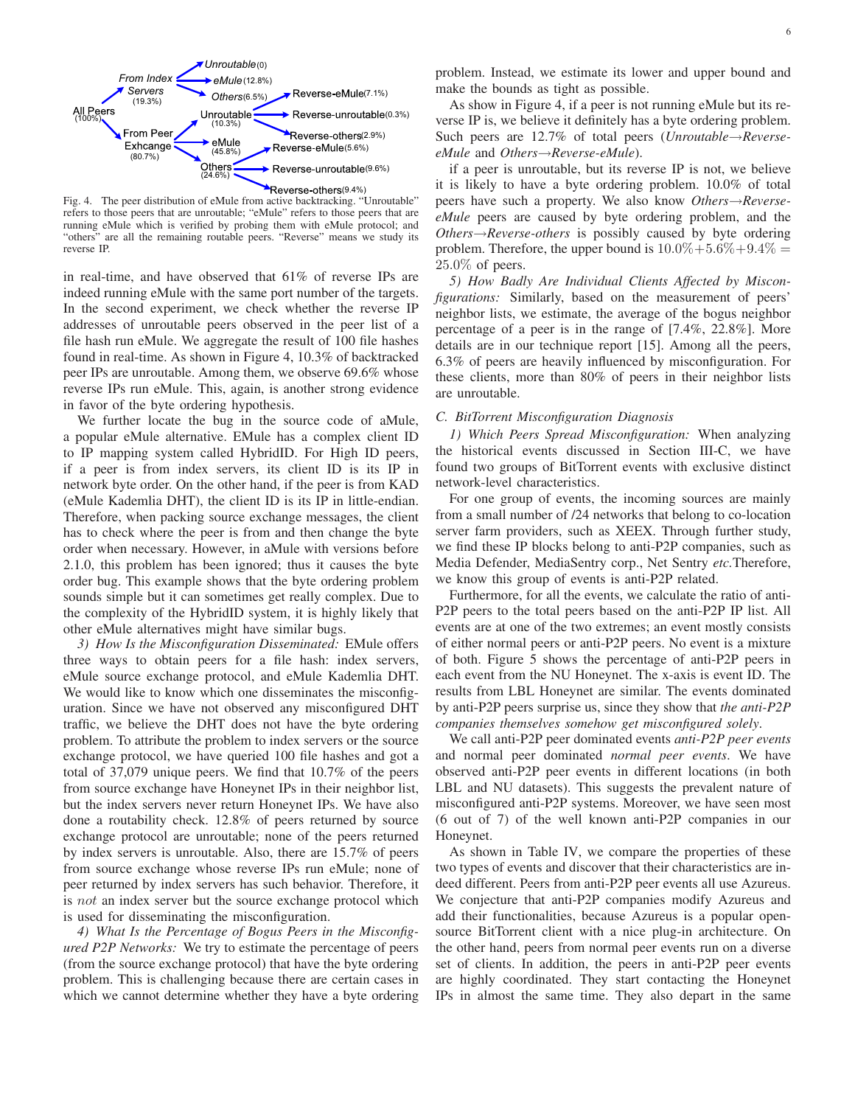

Fig. 4. The peer distribution of eMule from active backtracking. "Unroutable" refers to those peers that are unroutable; "eMule" refers to those peers that are running eMule which is verified by probing them with eMule protocol; and "others" are all the remaining routable peers. "Reverse" means we study its reverse IP.

in real-time, and have observed that 61% of reverse IPs are indeed running eMule with the same port number of the targets. In the second experiment, we check whether the reverse IP addresses of unroutable peers observed in the peer list of a file hash run eMule. We aggregate the result of 100 file hashes found in real-time. As shown in Figure 4, 10.3% of backtracked peer IPs are unroutable. Among them, we observe 69.6% whose reverse IPs run eMule. This, again, is another strong evidence in favor of the byte ordering hypothesis.

We further locate the bug in the source code of aMule, a popular eMule alternative. EMule has a complex client ID to IP mapping system called HybridID. For High ID peers, if a peer is from index servers, its client ID is its IP in network byte order. On the other hand, if the peer is from KAD (eMule Kademlia DHT), the client ID is its IP in little-endian. Therefore, when packing source exchange messages, the client has to check where the peer is from and then change the byte order when necessary. However, in aMule with versions before 2.1.0, this problem has been ignored; thus it causes the byte order bug. This example shows that the byte ordering problem sounds simple but it can sometimes get really complex. Due to the complexity of the HybridID system, it is highly likely that other eMule alternatives might have similar bugs.

*3) How Is the Misconfiguration Disseminated:* EMule offers three ways to obtain peers for a file hash: index servers, eMule source exchange protocol, and eMule Kademlia DHT. We would like to know which one disseminates the misconfiguration. Since we have not observed any misconfigured DHT traffic, we believe the DHT does not have the byte ordering problem. To attribute the problem to index servers or the source exchange protocol, we have queried 100 file hashes and got a total of 37,079 unique peers. We find that 10.7% of the peers from source exchange have Honeynet IPs in their neighbor list, but the index servers never return Honeynet IPs. We have also done a routability check. 12.8% of peers returned by source exchange protocol are unroutable; none of the peers returned by index servers is unroutable. Also, there are 15.7% of peers from source exchange whose reverse IPs run eMule; none of peer returned by index servers has such behavior. Therefore, it is *not* an index server but the source exchange protocol which is used for disseminating the misconfiguration.

*4) What Is the Percentage of Bogus Peers in the Misconfigured P2P Networks:* We try to estimate the percentage of peers (from the source exchange protocol) that have the byte ordering problem. This is challenging because there are certain cases in which we cannot determine whether they have a byte ordering problem. Instead, we estimate its lower and upper bound and make the bounds as tight as possible.

As show in Figure 4, if a peer is not running eMule but its reverse IP is, we believe it definitely has a byte ordering problem. Such peers are 12.7% of total peers (*Unroutable*→*ReverseeMule* and *Others*→*Reverse-eMule*).

if a peer is unroutable, but its reverse IP is not, we believe it is likely to have a byte ordering problem. 10.0% of total peers have such a property. We also know *Others*→*ReverseeMule* peers are caused by byte ordering problem, and the *Others*→*Reverse-others* is possibly caused by byte ordering problem. Therefore, the upper bound is  $10.0\% + 5.6\% + 9.4\% =$ 25*.*0% of peers.

*5) How Badly Are Individual Clients Affected by Misconfigurations:* Similarly, based on the measurement of peers' neighbor lists, we estimate, the average of the bogus neighbor percentage of a peer is in the range of [7.4%, 22.8%]. More details are in our technique report [15]. Among all the peers, 6.3% of peers are heavily influenced by misconfiguration. For these clients, more than 80% of peers in their neighbor lists are unroutable.

#### *C. BitTorrent Misconfiguration Diagnosis*

*1) Which Peers Spread Misconfiguration:* When analyzing the historical events discussed in Section III-C, we have found two groups of BitTorrent events with exclusive distinct network-level characteristics.

For one group of events, the incoming sources are mainly from a small number of /24 networks that belong to co-location server farm providers, such as XEEX. Through further study, we find these IP blocks belong to anti-P2P companies, such as Media Defender, MediaSentry corp., Net Sentry *etc.*Therefore, we know this group of events is anti-P2P related.

Furthermore, for all the events, we calculate the ratio of anti-P2P peers to the total peers based on the anti-P2P IP list. All events are at one of the two extremes; an event mostly consists of either normal peers or anti-P2P peers. No event is a mixture of both. Figure 5 shows the percentage of anti-P2P peers in each event from the NU Honeynet. The x-axis is event ID. The results from LBL Honeynet are similar. The events dominated by anti-P2P peers surprise us, since they show that *the anti-P2P companies themselves somehow get misconfigured solely*.

We call anti-P2P peer dominated events *anti-P2P peer events* and normal peer dominated *normal peer events*. We have observed anti-P2P peer events in different locations (in both LBL and NU datasets). This suggests the prevalent nature of misconfigured anti-P2P systems. Moreover, we have seen most (6 out of 7) of the well known anti-P2P companies in our Honeynet.

As shown in Table IV, we compare the properties of these two types of events and discover that their characteristics are indeed different. Peers from anti-P2P peer events all use Azureus. We conjecture that anti-P2P companies modify Azureus and add their functionalities, because Azureus is a popular opensource BitTorrent client with a nice plug-in architecture. On the other hand, peers from normal peer events run on a diverse set of clients. In addition, the peers in anti-P2P peer events are highly coordinated. They start contacting the Honeynet IPs in almost the same time. They also depart in the same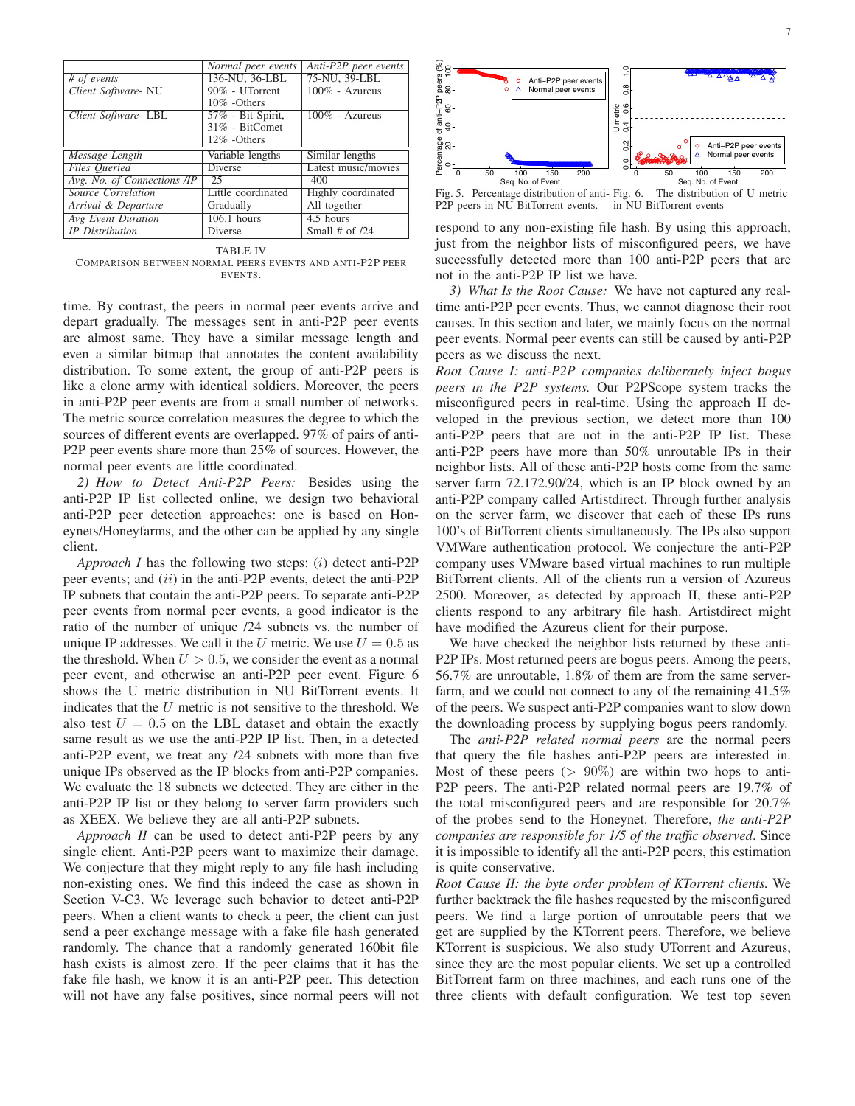|                    | Anti-P2P peer events                 |
|--------------------|--------------------------------------|
|                    | 75-NU, 39-LBL                        |
| 90% - UTorrent     | $100\%$ - Azureus                    |
| 10% -Others        |                                      |
| 57% - Bit Spirit,  | $100\%$ - Azureus                    |
| 31% - BitComet     |                                      |
| 12% -Others        |                                      |
| Variable lengths   | Similar lengths                      |
| <b>Diverse</b>     | Latest music/movies                  |
| 25                 | 400                                  |
| Little coordinated | Highly coordinated                   |
| Gradually          | All together                         |
| $106.1$ hours      | 4.5 hours                            |
|                    |                                      |
|                    | Normal peer events<br>136-NU, 36-LBL |

TABLE IV COMPARISON BETWEEN NORMAL PEERS EVENTS AND ANTI-P2P PEER EVENTS.

time. By contrast, the peers in normal peer events arrive and depart gradually. The messages sent in anti-P2P peer events are almost same. They have a similar message length and even a similar bitmap that annotates the content availability distribution. To some extent, the group of anti-P2P peers is like a clone army with identical soldiers. Moreover, the peers in anti-P2P peer events are from a small number of networks. The metric source correlation measures the degree to which the sources of different events are overlapped. 97% of pairs of anti-P2P peer events share more than 25% of sources. However, the normal peer events are little coordinated.

*2) How to Detect Anti-P2P Peers:* Besides using the anti-P2P IP list collected online, we design two behavioral anti-P2P peer detection approaches: one is based on Honeynets/Honeyfarms, and the other can be applied by any single client.

*Approach I* has the following two steps: (*i*) detect anti-P2P peer events; and (*ii*) in the anti-P2P events, detect the anti-P2P IP subnets that contain the anti-P2P peers. To separate anti-P2P peer events from normal peer events, a good indicator is the ratio of the number of unique /24 subnets vs. the number of unique IP addresses. We call it the *U* metric. We use  $U = 0.5$  as the threshold. When  $U > 0.5$ , we consider the event as a normal peer event, and otherwise an anti-P2P peer event. Figure 6 shows the U metric distribution in NU BitTorrent events. It indicates that the *U* metric is not sensitive to the threshold. We also test  $U = 0.5$  on the LBL dataset and obtain the exactly same result as we use the anti-P2P IP list. Then, in a detected anti-P2P event, we treat any /24 subnets with more than five unique IPs observed as the IP blocks from anti-P2P companies. We evaluate the 18 subnets we detected. They are either in the anti-P2P IP list or they belong to server farm providers such as XEEX. We believe they are all anti-P2P subnets.

*Approach II* can be used to detect anti-P2P peers by any single client. Anti-P2P peers want to maximize their damage. We conjecture that they might reply to any file hash including non-existing ones. We find this indeed the case as shown in Section V-C3. We leverage such behavior to detect anti-P2P peers. When a client wants to check a peer, the client can just send a peer exchange message with a fake file hash generated randomly. The chance that a randomly generated 160bit file hash exists is almost zero. If the peer claims that it has the fake file hash, we know it is an anti-P2P peer. This detection will not have any false positives, since normal peers will not



Fig. 5. Percentage distribution of anti-P2P peers in NU BitTorrent events. The distribution of U metric in NU BitTorrent events

respond to any non-existing file hash. By using this approach, just from the neighbor lists of misconfigured peers, we have successfully detected more than 100 anti-P2P peers that are not in the anti-P2P IP list we have.

*3) What Is the Root Cause:* We have not captured any realtime anti-P2P peer events. Thus, we cannot diagnose their root causes. In this section and later, we mainly focus on the normal peer events. Normal peer events can still be caused by anti-P2P peers as we discuss the next.

*Root Cause I: anti-P2P companies deliberately inject bogus peers in the P2P systems.* Our P2PScope system tracks the misconfigured peers in real-time. Using the approach II developed in the previous section, we detect more than 100 anti-P2P peers that are not in the anti-P2P IP list. These anti-P2P peers have more than 50% unroutable IPs in their neighbor lists. All of these anti-P2P hosts come from the same server farm 72.172.90/24, which is an IP block owned by an anti-P2P company called Artistdirect. Through further analysis on the server farm, we discover that each of these IPs runs 100's of BitTorrent clients simultaneously. The IPs also support VMWare authentication protocol. We conjecture the anti-P2P company uses VMware based virtual machines to run multiple BitTorrent clients. All of the clients run a version of Azureus 2500. Moreover, as detected by approach II, these anti-P2P clients respond to any arbitrary file hash. Artistdirect might have modified the Azureus client for their purpose.

We have checked the neighbor lists returned by these anti-P2P IPs. Most returned peers are bogus peers. Among the peers, 56.7% are unroutable, 1.8% of them are from the same serverfarm, and we could not connect to any of the remaining 41.5% of the peers. We suspect anti-P2P companies want to slow down the downloading process by supplying bogus peers randomly.

The *anti-P2P related normal peers* are the normal peers that query the file hashes anti-P2P peers are interested in. Most of these peers  $(> 90\%)$  are within two hops to anti-P2P peers. The anti-P2P related normal peers are 19.7% of the total misconfigured peers and are responsible for 20.7% of the probes send to the Honeynet. Therefore, *the anti-P2P companies are responsible for 1/5 of the traffic observed*. Since it is impossible to identify all the anti-P2P peers, this estimation is quite conservative.

*Root Cause II: the byte order problem of KTorrent clients.* We further backtrack the file hashes requested by the misconfigured peers. We find a large portion of unroutable peers that we get are supplied by the KTorrent peers. Therefore, we believe KTorrent is suspicious. We also study UTorrent and Azureus, since they are the most popular clients. We set up a controlled BitTorrent farm on three machines, and each runs one of the three clients with default configuration. We test top seven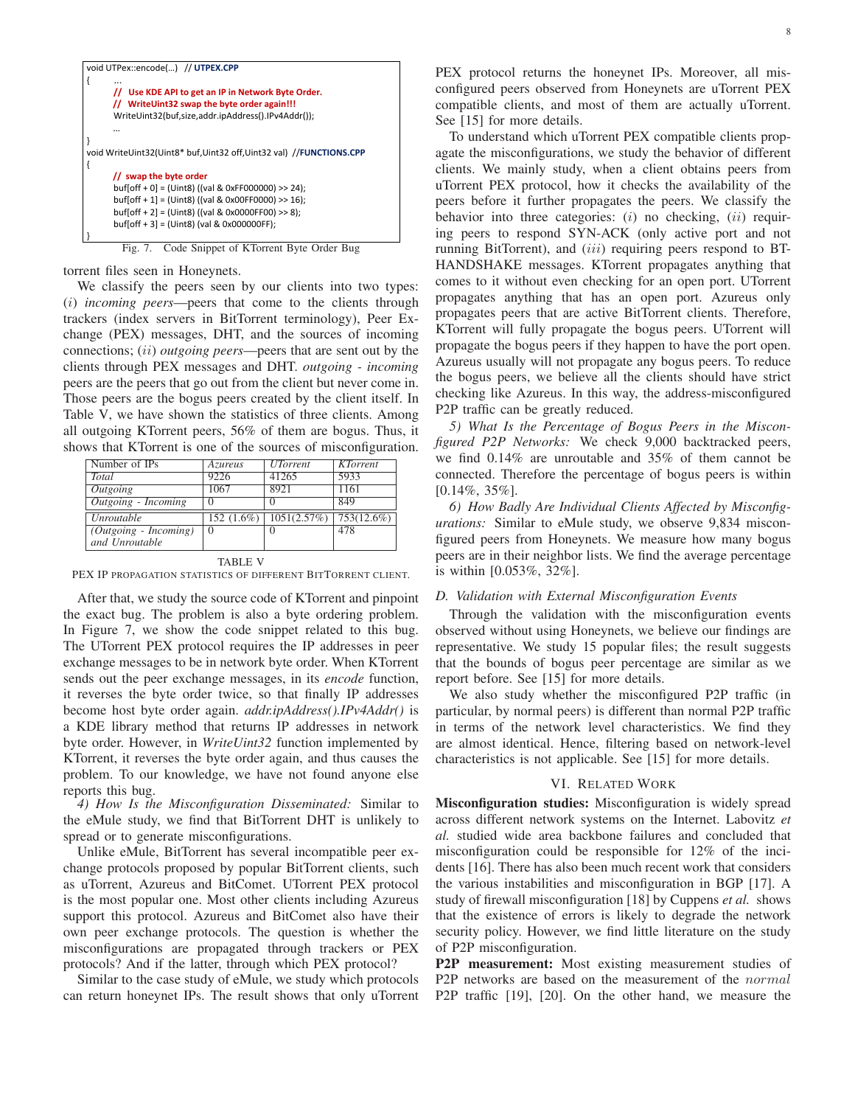```
void UTPex::encode(...) // UTPEX.CPP
{ ... 
      // Use KDE API to get an IP in Network Byte Order. 
        // WriteUint32 swap the byte order again!!!
       WriteUint32(buf,size,addr.ipAddress().IPv4Addr()); 
 … 
} 
void WriteUint32(Uint8* buf,Uint32 off,Uint32 val) //FUNCTIONS.CPP
{ 
       // swap the byte order 
       buf[off + 0] = (Uint8) ((val & 0xFF000000) >> 24); 
        buf[off + 1] = (Uint8) ((val & 0x00FF0000) >> 16); 
        buf[off + 2] = (Uint8) ((val & 0x0000FF00) >> 8); 
        buf[off + 3] = (Uint8) (val & 0x000000FF); 
} 
        Fig. 7. Code Snippet of KTorrent Byte Order Bug
```
torrent files seen in Honeynets.

We classify the peers seen by our clients into two types: (*i*) *incoming peers*—peers that come to the clients through trackers (index servers in BitTorrent terminology), Peer Exchange (PEX) messages, DHT, and the sources of incoming connections; (*ii*) *outgoing peers*—peers that are sent out by the clients through PEX messages and DHT. *outgoing - incoming* peers are the peers that go out from the client but never come in. Those peers are the bogus peers created by the client itself. In Table V, we have shown the statistics of three clients. Among all outgoing KTorrent peers, 56% of them are bogus. Thus, it shows that KTorrent is one of the sources of misconfiguration.

| Number of IPs           | Azureus          | <b>UTorrent</b>  | <b>KTorrent</b> |  |
|-------------------------|------------------|------------------|-----------------|--|
| <b>Total</b>            | 9226             | 41265            | 5933            |  |
| Outgoing                | 1067             | 8921             | 1161            |  |
| Outgoing - Incoming     | $\left( \right)$ | $\left( \right)$ | 849             |  |
| <i>Unroutable</i>       | $152(1.6\%)$     | 1051(2.57%)      | 753(12.6%)      |  |
| $(Outgoing - Incoming)$ | $\Omega$         | $\Omega$         | 478             |  |
| and Unroutable          |                  |                  |                 |  |
| TABLE V                 |                  |                  |                 |  |

PEX IP PROPAGATION STATISTICS OF DIFFERENT BITTORRENT CLIENT.

After that, we study the source code of KTorrent and pinpoint the exact bug. The problem is also a byte ordering problem. In Figure 7, we show the code snippet related to this bug. The UTorrent PEX protocol requires the IP addresses in peer exchange messages to be in network byte order. When KTorrent sends out the peer exchange messages, in its *encode* function, it reverses the byte order twice, so that finally IP addresses become host byte order again. *addr.ipAddress().IPv4Addr()* is a KDE library method that returns IP addresses in network byte order. However, in *WriteUint32* function implemented by KTorrent, it reverses the byte order again, and thus causes the problem. To our knowledge, we have not found anyone else reports this bug.

*4) How Is the Misconfiguration Disseminated:* Similar to the eMule study, we find that BitTorrent DHT is unlikely to spread or to generate misconfigurations.

Unlike eMule, BitTorrent has several incompatible peer exchange protocols proposed by popular BitTorrent clients, such as uTorrent, Azureus and BitComet. UTorrent PEX protocol is the most popular one. Most other clients including Azureus support this protocol. Azureus and BitComet also have their own peer exchange protocols. The question is whether the misconfigurations are propagated through trackers or PEX protocols? And if the latter, through which PEX protocol?

Similar to the case study of eMule, we study which protocols can return honeynet IPs. The result shows that only uTorrent PEX protocol returns the honeynet IPs. Moreover, all misconfigured peers observed from Honeynets are uTorrent PEX compatible clients, and most of them are actually uTorrent. See [15] for more details.

To understand which uTorrent PEX compatible clients propagate the misconfigurations, we study the behavior of different clients. We mainly study, when a client obtains peers from uTorrent PEX protocol, how it checks the availability of the peers before it further propagates the peers. We classify the behavior into three categories: (*i*) no checking, (*ii*) requiring peers to respond SYN-ACK (only active port and not running BitTorrent), and (*iii*) requiring peers respond to BT-HANDSHAKE messages. KTorrent propagates anything that comes to it without even checking for an open port. UTorrent propagates anything that has an open port. Azureus only propagates peers that are active BitTorrent clients. Therefore, KTorrent will fully propagate the bogus peers. UTorrent will propagate the bogus peers if they happen to have the port open. Azureus usually will not propagate any bogus peers. To reduce the bogus peers, we believe all the clients should have strict checking like Azureus. In this way, the address-misconfigured P2P traffic can be greatly reduced.

*5) What Is the Percentage of Bogus Peers in the Misconfigured P2P Networks:* We check 9,000 backtracked peers, we find 0.14% are unroutable and 35% of them cannot be connected. Therefore the percentage of bogus peers is within [0.14%, 35%].

*6) How Badly Are Individual Clients Affected by Misconfigurations:* Similar to eMule study, we observe 9,834 misconfigured peers from Honeynets. We measure how many bogus peers are in their neighbor lists. We find the average percentage is within [0.053%, 32%].

#### *D. Validation with External Misconfiguration Events*

Through the validation with the misconfiguration events observed without using Honeynets, we believe our findings are representative. We study 15 popular files; the result suggests that the bounds of bogus peer percentage are similar as we report before. See [15] for more details.

We also study whether the misconfigured P2P traffic (in particular, by normal peers) is different than normal P2P traffic in terms of the network level characteristics. We find they are almost identical. Hence, filtering based on network-level characteristics is not applicable. See [15] for more details.

## VI. RELATED WORK

**Misconfiguration studies:** Misconfiguration is widely spread across different network systems on the Internet. Labovitz *et al.* studied wide area backbone failures and concluded that misconfiguration could be responsible for 12% of the incidents [16]. There has also been much recent work that considers the various instabilities and misconfiguration in BGP [17]. A study of firewall misconfiguration [18] by Cuppens *et al.* shows that the existence of errors is likely to degrade the network security policy. However, we find little literature on the study of P2P misconfiguration.

**P2P measurement:** Most existing measurement studies of P2P networks are based on the measurement of the *normal* P2P traffic [19], [20]. On the other hand, we measure the